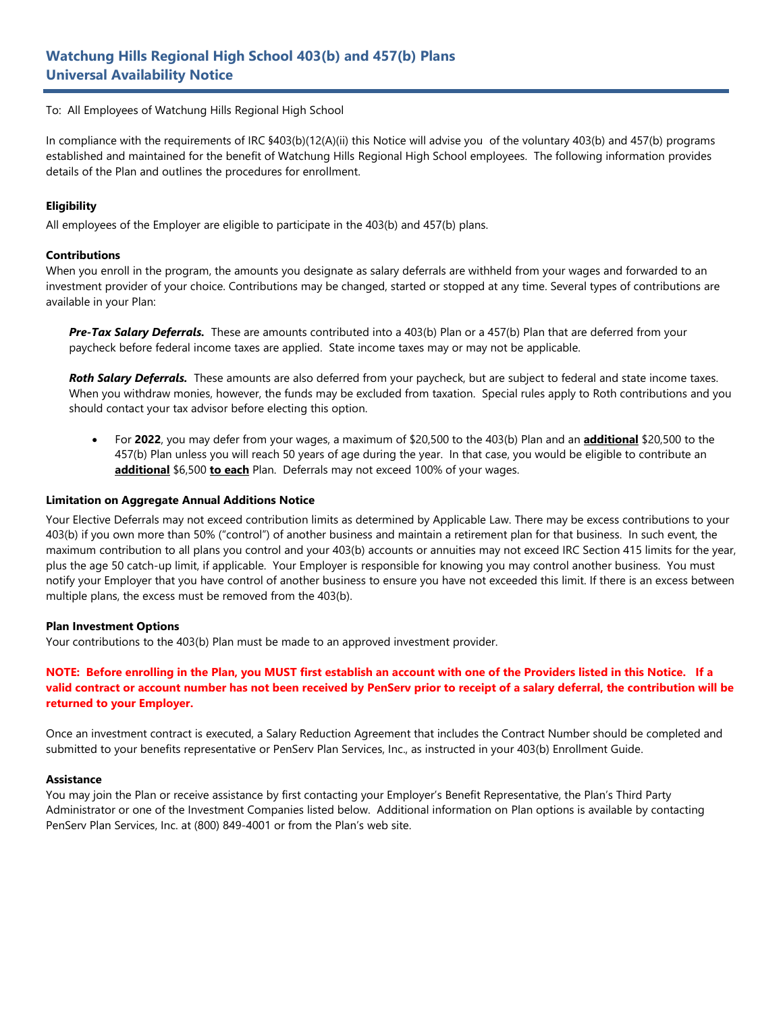# **Watchung Hills Regional High School 403(b) and 457(b) Plans Universal Availability Notice**

To: All Employees of Watchung Hills Regional High School

In compliance with the requirements of IRC §403(b)(12(A)(ii) this Notice will advise you of the voluntary 403(b) and 457(b) programs established and maintained for the benefit of Watchung Hills Regional High School employees. The following information provides details of the Plan and outlines the procedures for enrollment.

#### **Eligibility**

All employees of the Employer are eligible to participate in the 403(b) and 457(b) plans.

#### **Contributions**

When you enroll in the program, the amounts you designate as salary deferrals are withheld from your wages and forwarded to an investment provider of your choice. Contributions may be changed, started or stopped at any time. Several types of contributions are available in your Plan:

*Pre-Tax Salary Deferrals.* These are amounts contributed into a 403(b) Plan or a 457(b) Plan that are deferred from your paycheck before federal income taxes are applied. State income taxes may or may not be applicable.

*Roth Salary Deferrals.* These amounts are also deferred from your paycheck, but are subject to federal and state income taxes. When you withdraw monies, however, the funds may be excluded from taxation. Special rules apply to Roth contributions and you should contact your tax advisor before electing this option.

• For **2022**, you may defer from your wages, a maximum of \$20,500 to the 403(b) Plan and an **additional** \$20,500 to the 457(b) Plan unless you will reach 50 years of age during the year. In that case, you would be eligible to contribute an **additional** \$6,500 **to each** Plan. Deferrals may not exceed 100% of your wages.

#### **Limitation on Aggregate Annual Additions Notice**

Your Elective Deferrals may not exceed contribution limits as determined by Applicable Law. There may be excess contributions to your 403(b) if you own more than 50% ("control") of another business and maintain a retirement plan for that business. In such event, the maximum contribution to all plans you control and your 403(b) accounts or annuities may not exceed IRC Section 415 limits for the year, plus the age 50 catch-up limit, if applicable. Your Employer is responsible for knowing you may control another business. You must notify your Employer that you have control of another business to ensure you have not exceeded this limit. If there is an excess between multiple plans, the excess must be removed from the 403(b).

#### **Plan Investment Options**

Your contributions to the 403(b) Plan must be made to an approved investment provider.

## **NOTE: Before enrolling in the Plan, you MUST first establish an account with one of the Providers listed in this Notice. If a valid contract or account number has not been received by PenServ prior to receipt of a salary deferral, the contribution will be returned to your Employer.**

Once an investment contract is executed, a Salary Reduction Agreement that includes the Contract Number should be completed and submitted to your benefits representative or PenServ Plan Services, Inc., as instructed in your 403(b) Enrollment Guide.

#### **Assistance**

You may join the Plan or receive assistance by first contacting your Employer's Benefit Representative, the Plan's Third Party Administrator or one of the Investment Companies listed below. Additional information on Plan options is available by contacting PenServ Plan Services, Inc. at (800) 849-4001 or from the Plan's web site.